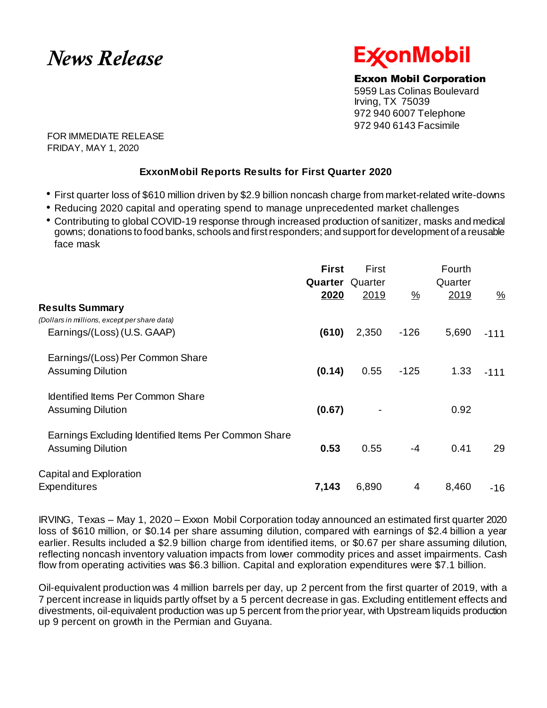## *News Release*

# **ExconMobil**

Exxon Mobil Corporation

 Las Colinas Boulevard Irving, TX 75039 940 6007 Telephone 940 6143 Facsimile

FOR IMMEDIATE RELEASE FRIDAY, MAY 1, 2020

#### **ExxonMobil Reports Results for First Quarter 2020**

- **•** First quarter loss of \$610 million driven by \$2.9 billion noncash charge from market-related write-downs
- **•** Reducing 2020 capital and operating spend to manage unprecedented market challenges
- **•** Contributing to global COVID-19 response through increased production of sanitizer, masks and medical gowns; donations to food banks, schools and firstresponders; and support for development of a reusable face mask

|                                                                                                       | <b>First</b><br><b>Quarter</b> Quarter<br>2020 | First<br>2019 | $\frac{9}{6}$ | Fourth<br>Quarter<br>2019 | $\frac{0}{2}$ |
|-------------------------------------------------------------------------------------------------------|------------------------------------------------|---------------|---------------|---------------------------|---------------|
| <b>Results Summary</b><br>(Dollars in millions, except per share data)<br>Earnings/(Loss) (U.S. GAAP) | (610)                                          | 2,350         | $-126$        | 5,690                     | $-111$        |
| Earnings/(Loss) Per Common Share<br><b>Assuming Dilution</b>                                          | (0.14)                                         | 0.55          | $-125$        | 1.33                      | $-111$        |
| <b>Identified Items Per Common Share</b><br><b>Assuming Dilution</b>                                  | (0.67)                                         | ٠             |               | 0.92                      |               |
| Earnings Excluding Identified Items Per Common Share<br><b>Assuming Dilution</b>                      | 0.53                                           | 0.55          | -4            | 0.41                      | 29            |
| Capital and Exploration<br><b>Expenditures</b>                                                        | 7,143                                          | 6,890         | 4             | 8,460                     | $-16$         |

IRVING, Texas – May 1, 2020 – Exxon Mobil Corporation today announced an estimated first quarter 2020 loss of \$610 million, or \$0.14 per share assuming dilution, compared with earnings of \$2.4 billion a year earlier. Results included a \$2.9 billion charge from identified items, or \$0.67 per share assuming dilution, reflecting noncash inventory valuation impacts from lower commodity prices and asset impairments. Cash flow from operating activities was \$6.3 billion. Capital and exploration expenditures were \$7.1 billion.

Oil-equivalent production was 4 million barrels per day, up 2 percent from the first quarter of 2019, with a 7 percent increase in liquids partly offset by a 5 percent decrease in gas. Excluding entitlement effects and divestments, oil-equivalent production was up 5 percent from the prior year, with Upstream liquids production up 9 percent on growth in the Permian and Guyana.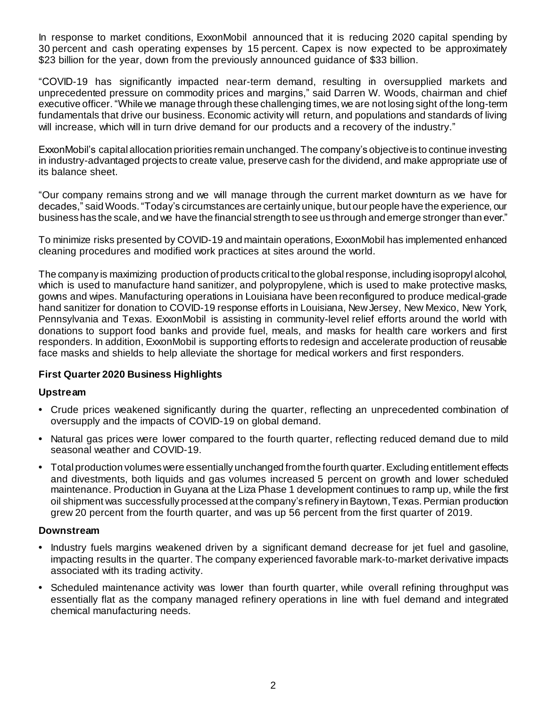In response to market conditions, ExxonMobil announced that it is reducing 2020 capital spending by 30 percent and cash operating expenses by 15 percent. Capex is now expected to be approximately \$23 billion for the year, down from the previously announced guidance of \$33 billion.

"COVID-19 has significantly impacted near-term demand, resulting in oversupplied markets and unprecedented pressure on commodity prices and margins," said Darren W. Woods, chairman and chief executive officer."While we manage through these challenging times, we are not losing sight of the long-term fundamentals that drive our business. Economic activity will return, and populations and standards of living will increase, which will in turn drive demand for our products and a recovery of the industry."

ExxonMobil's capital allocation priorities remain unchanged. The company's objectiveis to continue investing in industry-advantaged projects to create value, preserve cash for the dividend, and make appropriate use of its balance sheet.

"Our company remains strong and we will manage through the current market downturn as we have for decades," said Woods."Today's circumstances are certainly unique, but our people have the experience, our business has the scale, and we have the financial strength to see us through and emerge stronger than ever."

To minimize risks presented by COVID-19 and maintain operations,ExxonMobil has implemented enhanced cleaning procedures and modified work practices at sites around the world.

The company is maximizing production of products critical to the globalresponse, including isopropyl alcohol, which is used to manufacture hand sanitizer, and polypropylene, which is used to make protective masks, gowns and wipes. Manufacturing operations in Louisiana have been reconfigured to produce medical-grade hand sanitizer for donation to COVID-19 response efforts in Louisiana, NewJersey, New Mexico, New York, Pennsylvania and Texas. ExxonMobil is assisting in community-level relief efforts around the world with donations to support food banks and provide fuel, meals, and masks for health care workers and first responders. In addition, ExxonMobil is supporting efforts to redesign and accelerate production of reusable face masks and shields to help alleviate the shortage for medical workers and first responders.

#### **First Quarter 2020 Business Highlights**

#### **Upstream**

- **•** Crude prices weakened significantly during the quarter, reflecting an unprecedented combination of oversupply and the impacts of COVID-19 on global demand.
- **•** Natural gas prices were lower compared to the fourth quarter, reflecting reduced demand due to mild seasonal weather and COVID-19.
- **•** Total production volumes were essentially unchanged fromthe fourth quarter.Excluding entitlement effects and divestments, both liquids and gas volumes increased 5 percent on growth and lower scheduled maintenance. Production in Guyana at the Liza Phase 1 development continues to ramp up, while the first oil shipment was successfully processed at the company's refinery in Baytown, Texas. Permian production grew 20 percent from the fourth quarter, and was up 56 percent from the first quarter of 2019.

#### **Downstream**

- **•** Industry fuels margins weakened driven by a significant demand decrease for jet fuel and gasoline, impacting results in the quarter. The company experienced favorable mark-to-market derivative impacts associated with its trading activity.
- **•** Scheduled maintenance activity was lower than fourth quarter, while overall refining throughput was essentially flat as the company managed refinery operations in line with fuel demand and integrated chemical manufacturing needs.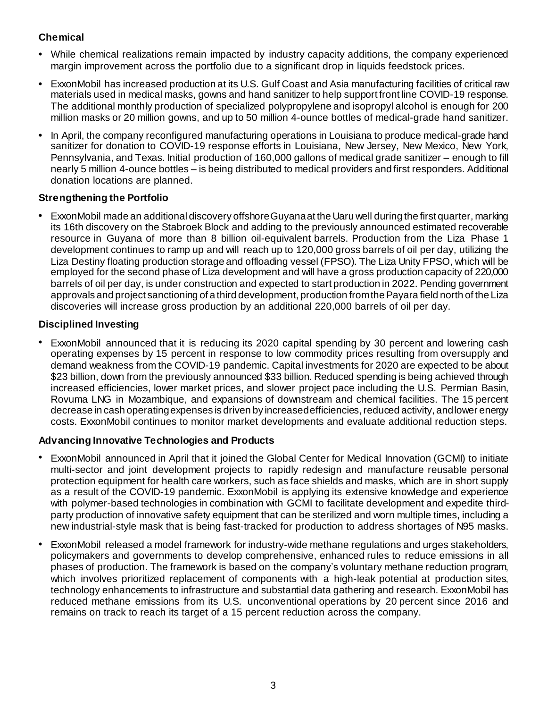#### **Chemical**

- **•** While chemical realizations remain impacted by industry capacity additions, the company experienced margin improvement across the portfolio due to a significant drop in liquids feedstock prices.
- **•** ExxonMobil has increased production at its U.S. Gulf Coast and Asia manufacturing facilities of critical raw materials used in medical masks, gowns and hand sanitizer to help support front line COVID-19 response. The additional monthly production of specialized polypropylene and isopropyl alcohol is enough for 200 million masks or 20 million gowns, and up to 50 million 4-ounce bottles of medical-grade hand sanitizer.
- **•** In April, the company reconfigured manufacturing operations in Louisiana to produce medical-grade hand sanitizer for donation to COVID-19 response efforts in Louisiana, New Jersey, New Mexico, New York, Pennsylvania, and Texas. Initial production of 160,000 gallons of medical grade sanitizer – enough to fill nearly 5 million 4-ounce bottles – is being distributed to medical providers and first responders. Additional donation locations are planned.

#### **Strengthening the Portfolio**

**•** ExxonMobil made an additional discovery offshoreGuyanaat the Uaru well during the first quarter, marking its 16th discovery on the Stabroek Block and adding to the previously announced estimated recoverable resource in Guyana of more than 8 billion oil-equivalent barrels. Production from the Liza Phase 1 development continues to ramp up and will reach up to 120,000 gross barrels of oil per day, utilizing the Liza Destiny floating production storage and offloading vessel (FPSO). The Liza Unity FPSO, which will be employed for the second phase of Liza development and will have a gross production capacity of 220,000 barrels of oil per day, is under construction and expected to start production in 2022. Pending government approvals and project sanctioning of a third development, production from the Payara field north of the Liza discoveries will increase gross production by an additional 220,000 barrels of oil per day.

#### **Disciplined Investing**

**•** ExxonMobil announced that it is reducing its 2020 capital spending by 30 percent and lowering cash operating expenses by 15 percent in response to low commodity prices resulting from oversupply and demand weakness from the COVID-19 pandemic. Capital investments for 2020 are expected to be about \$23 billion, down from the previously announced \$33 billion. Reduced spending is being achieved through increased efficiencies, lower market prices, and slower project pace including the U.S. Permian Basin, Rovuma LNG in Mozambique, and expansions of downstream and chemical facilities. The 15 percent decrease in cash operating expenses is driven by increased efficiencies, reduced activity, and lower energy costs. ExxonMobil continues to monitor market developments and evaluate additional reduction steps.

#### **Advancing Innovative Technologies and Products**

- **•** ExxonMobil announced in April that it joined the Global Center for Medical Innovation (GCMI) to initiate multi-sector and joint development projects to rapidly redesign and manufacture reusable personal protection equipment for health care workers, such as face shields and masks, which are in short supply as a result of the COVID-19 pandemic. ExxonMobil is applying its extensive knowledge and experience with polymer-based technologies in combination with GCMI to facilitate development and expedite thirdparty production of innovative safety equipment that can be sterilized and worn multiple times, including a new industrial-style mask that is being fast-tracked for production to address shortages of N95 masks.
- **•** ExxonMobil released a model framework for industry-wide methane regulations and urges stakeholders, policymakers and governments to develop comprehensive, enhanced rules to reduce emissions in all phases of production. The framework is based on the company's voluntary methane reduction program, which involves prioritized replacement of components with a high-leak potential at production sites, technology enhancements to infrastructure and substantial data gathering and research. ExxonMobil has reduced methane emissions from its U.S. unconventional operations by 20 percent since 2016 and remains on track to reach its target of a 15 percent reduction across the company.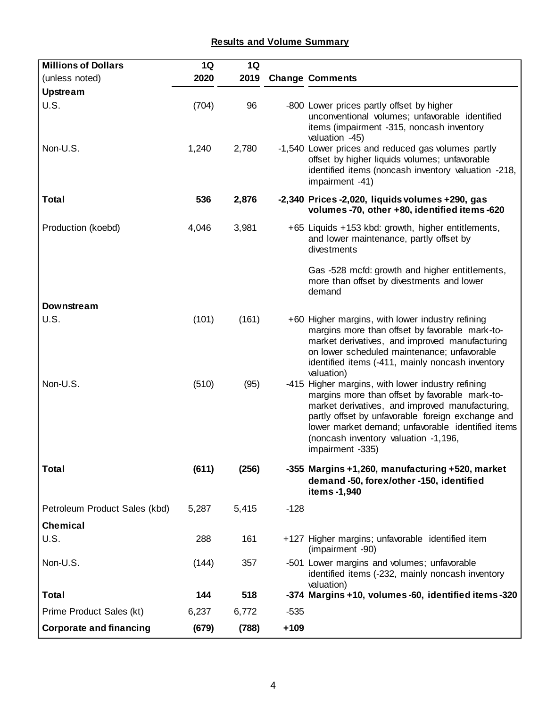## **Results and Volume Summary**

| <b>Millions of Dollars</b>     | 1Q    | 1Q    |        |                                                                                                                                                                                                                                                                                                                              |
|--------------------------------|-------|-------|--------|------------------------------------------------------------------------------------------------------------------------------------------------------------------------------------------------------------------------------------------------------------------------------------------------------------------------------|
| (unless noted)                 | 2020  | 2019  |        | <b>Change Comments</b>                                                                                                                                                                                                                                                                                                       |
| <b>Upstream</b>                |       |       |        |                                                                                                                                                                                                                                                                                                                              |
| U.S.                           | (704) | 96    |        | -800 Lower prices partly offset by higher<br>unconventional volumes; unfavorable identified<br>items (impairment -315, noncash inventory<br>valuation -45)                                                                                                                                                                   |
| Non-U.S.                       | 1,240 | 2,780 |        | -1,540 Lower prices and reduced gas volumes partly<br>offset by higher liquids volumes; unfavorable<br>identified items (noncash inventory valuation -218,<br>impairment -41)                                                                                                                                                |
| <b>Total</b>                   | 536   | 2,876 |        | $-2,340$ Prices $-2,020$ , liquids volumes $+290$ , gas<br>volumes -70, other +80, identified items -620                                                                                                                                                                                                                     |
| Production (koebd)             | 4,046 | 3,981 |        | +65 Liquids +153 kbd: growth, higher entitlements,<br>and lower maintenance, partly offset by<br>divestments                                                                                                                                                                                                                 |
|                                |       |       |        | Gas -528 mcfd: growth and higher entitlements,<br>more than offset by divestments and lower<br>demand                                                                                                                                                                                                                        |
| <b>Downstream</b>              |       |       |        |                                                                                                                                                                                                                                                                                                                              |
| <b>U.S.</b>                    | (101) | (161) |        | +60 Higher margins, with lower industry refining<br>margins more than offset by favorable mark-to-<br>market derivatives, and improved manufacturing<br>on lower scheduled maintenance; unfavorable<br>identified items (-411, mainly noncash inventory<br>valuation)                                                        |
| Non-U.S.                       | (510) | (95)  |        | -415 Higher margins, with lower industry refining<br>margins more than offset by favorable mark-to-<br>market derivatives, and improved manufacturing,<br>partly offset by unfavorable foreign exchange and<br>lower market demand; unfavorable identified items<br>(noncash inventory valuation -1,196,<br>impairment -335) |
| <b>Total</b>                   | (611) | (256) |        | -355 Margins +1,260, manufacturing +520, market<br>demand -50, forex/other -150, identified<br>items -1,940                                                                                                                                                                                                                  |
| Petroleum Product Sales (kbd)  | 5,287 | 5,415 | $-128$ |                                                                                                                                                                                                                                                                                                                              |
| <b>Chemical</b>                |       |       |        |                                                                                                                                                                                                                                                                                                                              |
| U.S.                           | 288   | 161   |        | +127 Higher margins; unfavorable identified item<br>(impairment -90)                                                                                                                                                                                                                                                         |
| Non-U.S.                       | (144) | 357   |        | -501 Lower margins and volumes; unfavorable<br>identified items (-232, mainly noncash inventory<br>valuation)                                                                                                                                                                                                                |
| <b>Total</b>                   | 144   | 518   |        | -374 Margins +10, volumes -60, identified items -320                                                                                                                                                                                                                                                                         |
| Prime Product Sales (kt)       | 6,237 | 6,772 | $-535$ |                                                                                                                                                                                                                                                                                                                              |
| <b>Corporate and financing</b> | (679) | (788) | $+109$ |                                                                                                                                                                                                                                                                                                                              |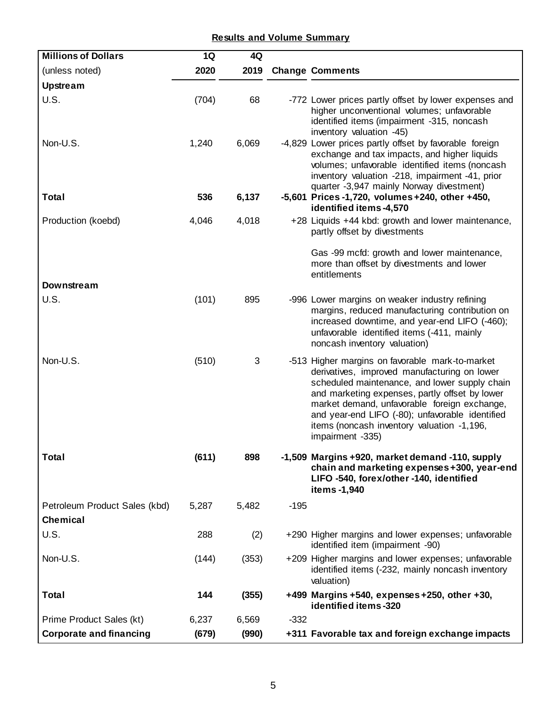## **Results and Volume Summary**

| <b>Millions of Dollars</b>                       | 1Q    | 4Q    |        |                                                                                                                                                                                                                                                                                                                                                                         |
|--------------------------------------------------|-------|-------|--------|-------------------------------------------------------------------------------------------------------------------------------------------------------------------------------------------------------------------------------------------------------------------------------------------------------------------------------------------------------------------------|
| (unless noted)                                   | 2020  | 2019  |        | <b>Change Comments</b>                                                                                                                                                                                                                                                                                                                                                  |
| <b>Upstream</b>                                  |       |       |        |                                                                                                                                                                                                                                                                                                                                                                         |
| <b>U.S.</b>                                      | (704) | 68    |        | -772 Lower prices partly offset by lower expenses and<br>higher unconventional volumes; unfavorable<br>identified items (impairment -315, noncash<br>inventory valuation -45)                                                                                                                                                                                           |
| Non-U.S.                                         | 1,240 | 6,069 |        | -4,829 Lower prices partly offset by favorable foreign<br>exchange and tax impacts, and higher liquids<br>volumes; unfavorable identified items (noncash<br>inventory valuation -218, impairment -41, prior<br>quarter -3,947 mainly Norway divestment)                                                                                                                 |
| <b>Total</b>                                     | 536   | 6,137 |        | -5,601 Prices -1,720, volumes +240, other +450,<br>identified items-4,570                                                                                                                                                                                                                                                                                               |
| Production (koebd)                               | 4,046 | 4,018 |        | +28 Liquids +44 kbd: growth and lower maintenance,<br>partly offset by divestments                                                                                                                                                                                                                                                                                      |
|                                                  |       |       |        | Gas -99 mcfd: growth and lower maintenance,<br>more than offset by divestments and lower<br>entitlements                                                                                                                                                                                                                                                                |
| Downstream                                       |       |       |        |                                                                                                                                                                                                                                                                                                                                                                         |
| U.S.                                             | (101) | 895   |        | -996 Lower margins on weaker industry refining<br>margins, reduced manufacturing contribution on<br>increased downtime, and year-end LIFO (-460);<br>unfavorable identified items (-411, mainly<br>noncash inventory valuation)                                                                                                                                         |
| Non-U.S.                                         | (510) | 3     |        | -513 Higher margins on favorable mark-to-market<br>derivatives, improved manufacturing on lower<br>scheduled maintenance, and lower supply chain<br>and marketing expenses, partly offset by lower<br>market demand, unfavorable foreign exchange,<br>and year-end LIFO (-80); unfavorable identified<br>items (noncash inventory valuation -1,196,<br>impairment -335) |
| <b>Total</b>                                     | (611) | 898   |        | -1,509 Margins +920, market demand -110, supply<br>chain and marketing expenses +300, year-end<br>LIFO -540, forex/other -140, identified<br>items -1,940                                                                                                                                                                                                               |
| Petroleum Product Sales (kbd)<br><b>Chemical</b> | 5,287 | 5,482 | $-195$ |                                                                                                                                                                                                                                                                                                                                                                         |
| U.S.                                             | 288   | (2)   |        | +290 Higher margins and lower expenses; unfavorable<br>identified item (impairment -90)                                                                                                                                                                                                                                                                                 |
| Non-U.S.                                         | (144) | (353) |        | +209 Higher margins and lower expenses; unfavorable<br>identified items (-232, mainly noncash inventory<br>valuation)                                                                                                                                                                                                                                                   |
| <b>Total</b>                                     | 144   | (355) |        | +499 Margins +540, expenses +250, other +30,<br>identified items-320                                                                                                                                                                                                                                                                                                    |
| Prime Product Sales (kt)                         | 6,237 | 6,569 | $-332$ |                                                                                                                                                                                                                                                                                                                                                                         |
| <b>Corporate and financing</b>                   | (679) | (990) |        | +311 Favorable tax and foreign exchange impacts                                                                                                                                                                                                                                                                                                                         |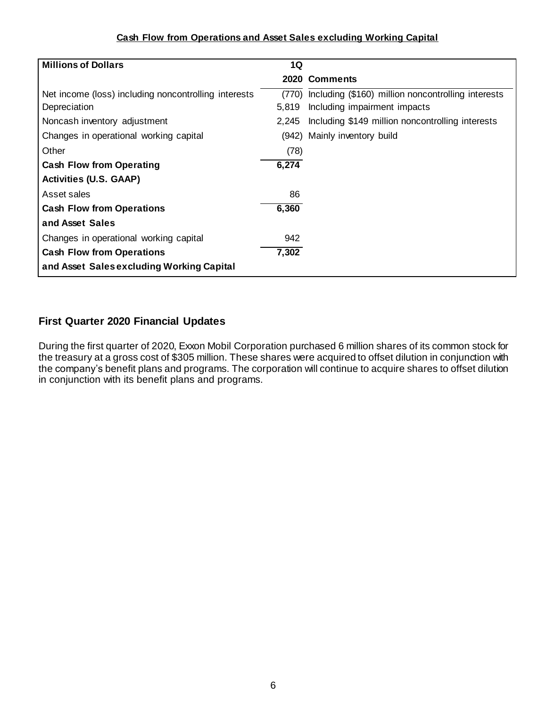| <b>Millions of Dollars</b>                           | 1Q    |                                                    |
|------------------------------------------------------|-------|----------------------------------------------------|
|                                                      |       | 2020 Comments                                      |
| Net income (loss) including noncontrolling interests | (770) | Including (\$160) million noncontrolling interests |
| Depreciation                                         | 5,819 | Including impairment impacts                       |
| Noncash inventory adjustment                         | 2.245 | Including \$149 million noncontrolling interests   |
| Changes in operational working capital               | (942) | Mainly inventory build                             |
| Other                                                | (78)  |                                                    |
| <b>Cash Flow from Operating</b>                      | 6,274 |                                                    |
| <b>Activities (U.S. GAAP)</b>                        |       |                                                    |
| Asset sales                                          | 86    |                                                    |
| <b>Cash Flow from Operations</b>                     | 6,360 |                                                    |
| and Asset Sales                                      |       |                                                    |
| Changes in operational working capital               | 942   |                                                    |
| <b>Cash Flow from Operations</b>                     | 7,302 |                                                    |
| and Asset Sales excluding Working Capital            |       |                                                    |

#### **Cash Flow from Operations and Asset Sales excluding Working Capital**

#### **First Quarter 2020 Financial Updates**

During the first quarter of 2020, Exxon Mobil Corporation purchased 6 million shares of its common stock for the treasury at a gross cost of \$305 million. These shares were acquired to offset dilution in conjunction with the company's benefit plans and programs. The corporation will continue to acquire shares to offset dilution in conjunction with its benefit plans and programs.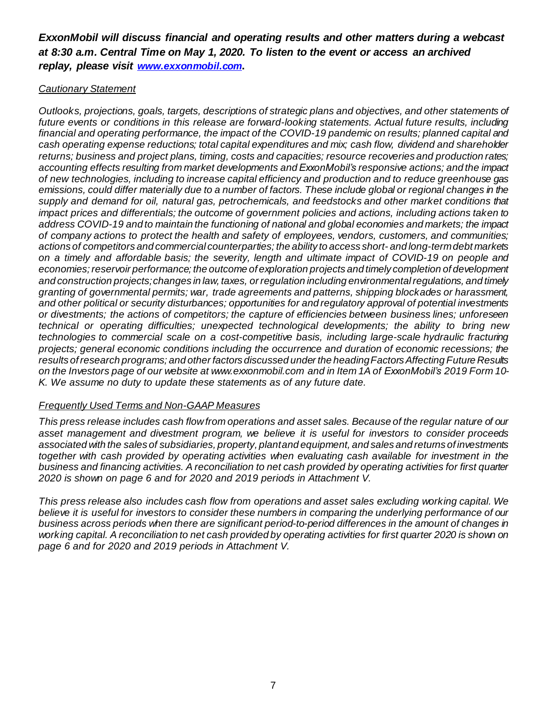*ExxonMobil will discuss financial and operating results and other matters during a webcast at 8:30 a.m. Central Time on May 1, 2020. To listen to the event or access an archived replay, please visit [www.exxonmobil.com](http://www.exxonmobil.com/)***.**

#### *Cautionary Statement*

*Outlooks, projections, goals, targets, descriptions of strategic plans and objectives, and other statements of future events or conditions in this release are forward-looking statements. Actual future results, including financial and operating performance, the impact of the COVID-19 pandemic on results; planned capital and cash operating expense reductions; total capital expenditures and mix; cash flow, dividend and shareholder returns; business and project plans, timing, costs and capacities; resource recoveries and production rates; accounting effects resulting from market developments andExxonMobil's responsive actions; and the impact of new technologies, including to increase capital efficiency and production and to reduce greenhouse gas* emissions, could differ materially due to a number of factors. These include global or regional changes in the *supply and demand for oil, natural gas, petrochemicals, and feedstocks and other market conditions that impact prices and differentials; the outcome of government policies and actions, including actions taken to address COVID-19 and to maintain the functioning of national and global economies and markets; the impact of company actions to protect the health and safety of employees, vendors, customers, and communities; actions of competitors and commercial counterparties; the ability to access short- and long-termdebt markets on a timely and affordable basis; the severity, length and ultimate impact of COVID-19 on people and economies;reservoir performance; the outcome of exploration projects and timely completion of development and construction projects;changes in law, taxes, or regulation including environmentalregulations, and timely granting of governmental permits; war, trade agreements and patterns, shipping blockades or harassment, and other political or security disturbances; opportunities for and regulatory approval of potential investments or divestments; the actions of competitors; the capture of efficiencies between business lines; unforeseen technical or operating difficulties; unexpected technological developments; the ability to bring new technologies to commercial scale on a cost-competitive basis, including large-scale hydraulic fracturing projects; general economic conditions including the occurrence and duration of economic recessions; the results ofresearch programs; and other factors discussed under the headingFactorsAffecting Future Results* on the Investors page of our website at www.exxonmobil.com and in Item 1A of ExxonMobil's 2019 Form 10-*K. We assume no duty to update these statements as of any future date.*

#### *Frequently Used Terms and Non-GAAP Measures*

This press release includes cash flow from operations and asset sales. Because of the reqular nature of our *asset management and divestment program, we believe it is useful for investors to consider proceeds associated with the sales of subsidiaries, property, plantand equipment, and sales and returns of investments together with cash provided by operating activities when evaluating cash available for investment in the* business and financing activities. A reconciliation to net cash provided by operating activities for first quarter *2020 is shown on page 6 and for 2020 and 2019 periods in Attachment V.*

*This press release also includes cash flow from operations and asset sales excluding working capital. We* believe it is useful for investors to consider these numbers in comparing the underlying performance of our *business across periods when there are significant period-to-period differences in the amount of changes in* working capital. A reconciliation to net cash provided by operating activities for first quarter 2020 is shown on *page 6 and for 2020 and 2019 periods in Attachment V.*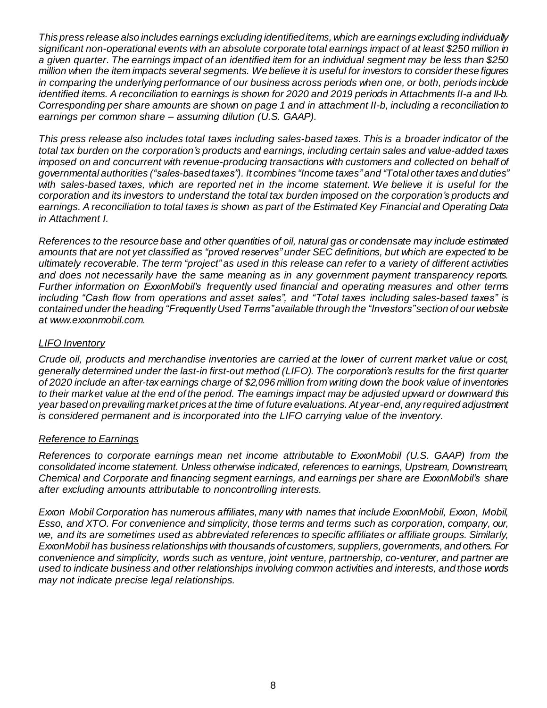*This press release also includes earnings excluding identifieditems, which are earnings excluding individually significant non-operational events with an absolute corporate total earnings impact of at least \$250 million in* a given quarter. The earnings impact of an identified item for an individual segment may be less than \$250 million when the item impacts several segments. We believe it is useful for investors to consider these figures *in comparing the underlying performance of our business across periods when one, or both, periods include* identified items. A reconciliation to earnings is shown for 2020 and 2019 periods in Attachments II-a and II-b. *Corresponding per share amounts are shown on page 1 and in attachment II-b, including a reconciliation to earnings per common share – assuming dilution (U.S. GAAP).*

This press release also includes total taxes including sales-based taxes. This is a broader indicator of the *total tax burden on the corporation's products and earnings, including certain sales and value-added taxes imposed on and concurrent with revenue-producing transactions with customers and collected on behalf of governmental authorities ("sales-basedtaxes"). It combines "Income taxes" and "Total other taxes and duties"* with sales-based taxes, which are reported net in the income statement. We believe it is useful for the *corporation and its investors to understand the total tax burden imposed on the corporation's products and* earnings. A reconciliation to total taxes is shown as part of the Estimated Key Financial and Operating Data *in Attachment I.*

References to the resource base and other quantities of oil, natural gas or condensate may include estimated amounts that are not yet classified as "proved reserves" under SEC definitions, but which are expected to be ultimately recoverable. The term "project" as used in this release can refer to a variety of different activities *and does not necessarily have the same meaning as in any government payment transparency reports. Further information on ExxonMobil's frequently used financial and operating measures and other terms including "Cash flow from operations and asset sales", and "Total taxes including sales-based taxes" is contained under the heading "Frequently Used Terms"available through the "Investors"section of our website at www.exxonmobil.com.*

#### *LIFO Inventory*

*Crude oil, products and merchandise inventories are carried at the lower of current market value or cost, generally determined under the last-in first-out method (LIFO). The corporation's results for the first quarter* of 2020 include an after-tax earnings charge of \$2,096 million from writing down the book value of inventories to their market value at the end of the period. The earnings impact may be adjusted upward or downward this *year based on prevailing market prices at the time of future evaluations.At year-end, any required adjustment is considered permanent and is incorporated into the LIFO carrying value of the inventory.*

#### *Reference to Earnings*

*References to corporate earnings mean net income attributable to ExxonMobil (U.S. GAAP) from the consolidated income statement. Unless otherwise indicated, references to earnings, Upstream, Downstream, Chemical and Corporate and financing segment earnings, and earnings per share are ExxonMobil's share after excluding amounts attributable to noncontrolling interests.*

*Exxon Mobil Corporation has numerous affiliates, many with names that include ExxonMobil, Exxon, Mobil, Esso, and XTO. For convenience and simplicity, those terms and terms such as corporation, company, our, we, and its are sometimes used as abbreviated references to specific affiliates or affiliate groups. Similarly, ExxonMobil has business relationships with thousands of customers, suppliers, governments, and others. For convenience and simplicity, words such as venture, joint venture, partnership, co-venturer, and partner are used to indicate business and other relationships involving common activities and interests, and those words may not indicate precise legal relationships.*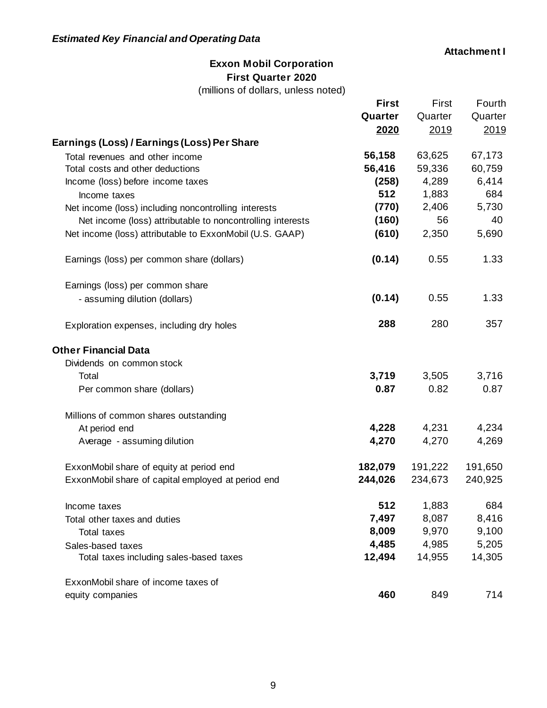**Attachment I**

## **Exxon Mobil Corporation First Quarter 2020**

(millions of dollars, unless noted)

|                                                            | <b>First</b> | First   | Fourth  |
|------------------------------------------------------------|--------------|---------|---------|
|                                                            | Quarter      | Quarter | Quarter |
|                                                            | 2020         | 2019    | 2019    |
| Earnings (Loss) / Earnings (Loss) Per Share                |              |         |         |
| Total revenues and other income                            | 56,158       | 63,625  | 67,173  |
| Total costs and other deductions                           | 56,416       | 59,336  | 60,759  |
| Income (loss) before income taxes                          | (258)        | 4,289   | 6,414   |
| Income taxes                                               | 512          | 1,883   | 684     |
| Net income (loss) including noncontrolling interests       | (770)        | 2,406   | 5,730   |
| Net income (loss) attributable to noncontrolling interests | (160)        | 56      | 40      |
| Net income (loss) attributable to ExxonMobil (U.S. GAAP)   | (610)        | 2,350   | 5,690   |
| Earnings (loss) per common share (dollars)                 | (0.14)       | 0.55    | 1.33    |
| Earnings (loss) per common share                           |              |         |         |
| - assuming dilution (dollars)                              | (0.14)       | 0.55    | 1.33    |
| Exploration expenses, including dry holes                  | 288          | 280     | 357     |
| <b>Other Financial Data</b>                                |              |         |         |
| Dividends on common stock                                  |              |         |         |
| Total                                                      | 3,719        | 3,505   | 3,716   |
| Per common share (dollars)                                 | 0.87         | 0.82    | 0.87    |
| Millions of common shares outstanding                      |              |         |         |
| At period end                                              | 4,228        | 4,231   | 4,234   |
| Average - assuming dilution                                | 4,270        | 4,270   | 4,269   |
| ExxonMobil share of equity at period end                   | 182,079      | 191,222 | 191,650 |
| ExxonMobil share of capital employed at period end         | 244,026      | 234,673 | 240,925 |
| Income taxes                                               | 512          | 1,883   | 684     |
| Total other taxes and duties                               | 7,497        | 8,087   | 8,416   |
| <b>Total taxes</b>                                         | 8,009        | 9,970   | 9,100   |
| Sales-based taxes                                          | 4,485        | 4,985   | 5,205   |
| Total taxes including sales-based taxes                    | 12,494       | 14,955  | 14,305  |
| ExxonMobil share of income taxes of                        |              |         |         |
| equity companies                                           | 460          | 849     | 714     |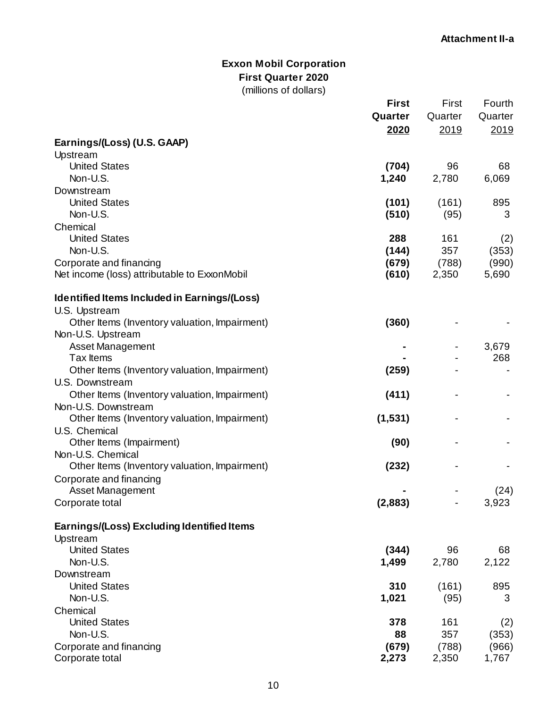## **Exxon Mobil Corporation First Quarter 2020** (millions of dollars)

|                                               | <b>First</b><br>Quarter | First<br>Quarter | Fourth<br>Quarter |
|-----------------------------------------------|-------------------------|------------------|-------------------|
| Earnings/(Loss) (U.S. GAAP)                   | 2020                    | 2019             | 2019              |
| Upstream                                      |                         |                  |                   |
| <b>United States</b>                          | (704)                   | 96               | 68                |
| Non-U.S.                                      | 1,240                   | 2,780            | 6,069             |
| Downstream                                    |                         |                  |                   |
| <b>United States</b>                          | (101)                   | (161)            | 895               |
| Non-U.S.                                      | (510)                   | (95)             | 3                 |
| Chemical                                      |                         |                  |                   |
| <b>United States</b><br>Non-U.S.              | 288                     | 161<br>357       | (2)               |
| Corporate and financing                       | (144)<br>(679)          | (788)            | (353)<br>(990)    |
| Net income (loss) attributable to ExxonMobil  | (610)                   | 2,350            | 5,690             |
|                                               |                         |                  |                   |
| Identified Items Included in Earnings/(Loss)  |                         |                  |                   |
| U.S. Upstream                                 |                         |                  |                   |
| Other Items (Inventory valuation, Impairment) | (360)                   |                  |                   |
| Non-U.S. Upstream<br>Asset Management         |                         |                  | 3,679             |
| Tax Items                                     |                         | -                | 268               |
| Other Items (Inventory valuation, Impairment) | (259)                   |                  |                   |
| U.S. Downstream                               |                         |                  |                   |
| Other Items (Inventory valuation, Impairment) | (411)                   |                  |                   |
| Non-U.S. Downstream                           |                         |                  |                   |
| Other Items (Inventory valuation, Impairment) | (1,531)                 |                  |                   |
| U.S. Chemical                                 |                         |                  |                   |
| Other Items (Impairment)<br>Non-U.S. Chemical | (90)                    |                  |                   |
| Other Items (Inventory valuation, Impairment) | (232)                   |                  |                   |
| Corporate and financing                       |                         |                  |                   |
| Asset Management                              |                         |                  | (24)              |
| Corporate total                               | (2,883)                 |                  | 3,923             |
| Earnings/(Loss) Excluding Identified Items    |                         |                  |                   |
| Upstream                                      |                         |                  |                   |
| <b>United States</b>                          | (344)                   | 96               | 68                |
| Non-U.S.                                      | 1,499                   | 2,780            | 2,122             |
| Downstream                                    |                         |                  |                   |
| <b>United States</b>                          | 310                     | (161)            | 895               |
| Non-U.S.                                      | 1,021                   | (95)             | 3                 |
| Chemical<br><b>United States</b>              | 378                     | 161              | (2)               |
| Non-U.S.                                      | 88                      | 357              | (353)             |
| Corporate and financing                       | (679)                   | (788)            | (966)             |
| Corporate total                               | 2,273                   | 2,350            | 1,767             |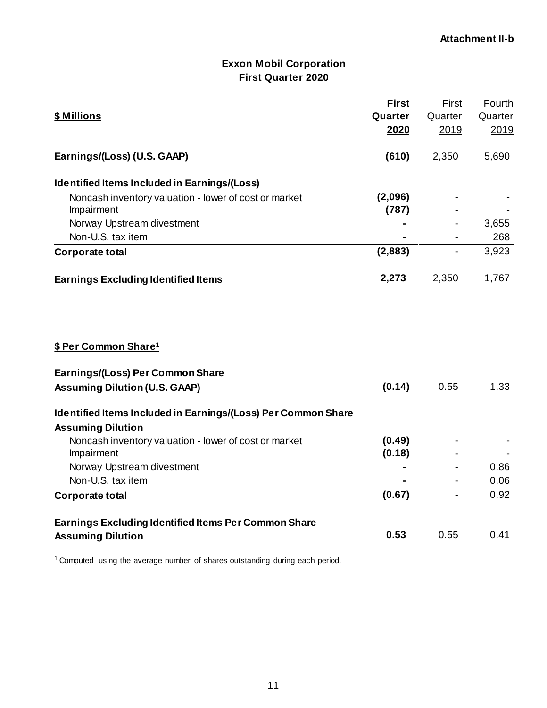| <u><b>\$ Millions</b></u>                                                                               | <b>First</b><br>Quarter<br>2020 | First<br>Quarter<br>2019 | Fourth<br>Quarter<br>2019 |
|---------------------------------------------------------------------------------------------------------|---------------------------------|--------------------------|---------------------------|
| Earnings/(Loss) (U.S. GAAP)                                                                             | (610)                           | 2,350                    | 5,690                     |
| Identified Items Included in Earnings/(Loss)                                                            |                                 |                          |                           |
| Noncash inventory valuation - lower of cost or market                                                   | (2,096)                         |                          |                           |
| Impairment                                                                                              | (787)                           |                          |                           |
| Norway Upstream divestment                                                                              |                                 |                          | 3,655                     |
| Non-U.S. tax item                                                                                       |                                 |                          | 268                       |
| <b>Corporate total</b>                                                                                  | (2,883)                         | $\overline{\phantom{0}}$ | 3,923                     |
| <b>Earnings Excluding Identified Items</b>                                                              | 2,273                           | 2,350                    | 1,767                     |
| \$ Per Common Share1<br><b>Earnings/(Loss) Per Common Share</b><br><b>Assuming Dilution (U.S. GAAP)</b> | (0.14)                          | 0.55                     | 1.33                      |
| Identified Items Included in Earnings/(Loss) Per Common Share                                           |                                 |                          |                           |
| <b>Assuming Dilution</b>                                                                                |                                 |                          |                           |
| Noncash inventory valuation - lower of cost or market                                                   | (0.49)                          |                          |                           |
| Impairment                                                                                              | (0.18)                          |                          |                           |
| Norway Upstream divestment                                                                              |                                 |                          | 0.86                      |
| Non-U.S. tax item                                                                                       |                                 |                          | 0.06                      |
| <b>Corporate total</b>                                                                                  | (0.67)                          | $\blacksquare$           | 0.92                      |
| <b>Earnings Excluding Identified Items Per Common Share</b><br><b>Assuming Dilution</b>                 | 0.53                            | 0.55                     | 0.41                      |

<sup>1</sup> Computed using the average number of shares outstanding during each period.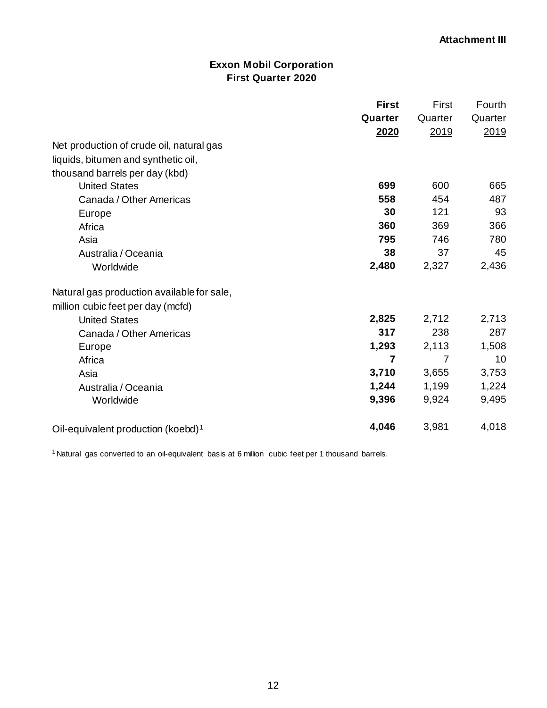|                                                | <b>First</b> | First          | Fourth  |
|------------------------------------------------|--------------|----------------|---------|
|                                                | Quarter      | Quarter        | Quarter |
|                                                | 2020         | 2019           | 2019    |
| Net production of crude oil, natural gas       |              |                |         |
| liquids, bitumen and synthetic oil,            |              |                |         |
| thousand barrels per day (kbd)                 |              |                |         |
| <b>United States</b>                           | 699          | 600            | 665     |
| Canada / Other Americas                        | 558          | 454            | 487     |
| Europe                                         | 30           | 121            | 93      |
| Africa                                         | 360          | 369            | 366     |
| Asia                                           | 795          | 746            | 780     |
| Australia / Oceania                            | 38           | 37             | 45      |
| Worldwide                                      | 2,480        | 2,327          | 2,436   |
| Natural gas production available for sale,     |              |                |         |
| million cubic feet per day (mcfd)              |              |                |         |
| <b>United States</b>                           | 2,825        | 2,712          | 2,713   |
| Canada / Other Americas                        | 317          | 238            | 287     |
| Europe                                         | 1,293        | 2,113          | 1,508   |
| Africa                                         | 7            | $\overline{7}$ | 10      |
| Asia                                           | 3,710        | 3,655          | 3,753   |
| Australia / Oceania                            | 1,244        | 1,199          | 1,224   |
| Worldwide                                      | 9,396        | 9,924          | 9,495   |
| Oil-equivalent production (koebd) <sup>1</sup> | 4,046        | 3,981          | 4,018   |

<sup>1</sup>Natural gas converted to an oil-equivalent basis at 6 million cubic feet per 1 thousand barrels.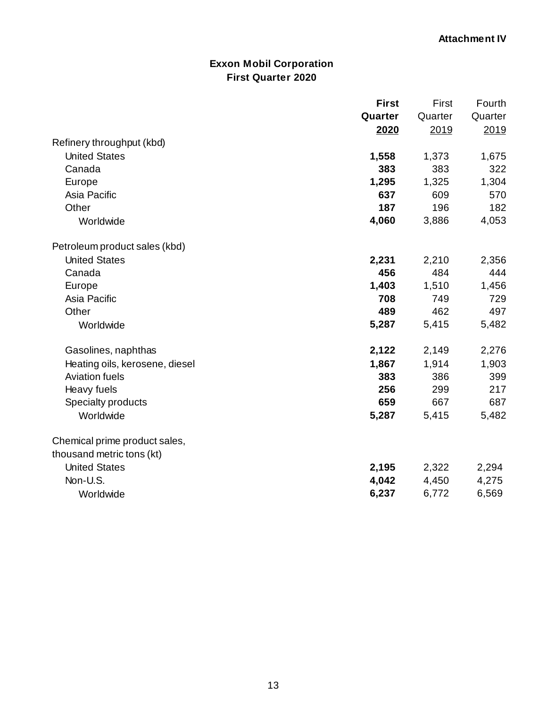|                                | <b>First</b> | First   | Fourth  |
|--------------------------------|--------------|---------|---------|
|                                | Quarter      | Quarter | Quarter |
|                                | 2020         | 2019    | 2019    |
| Refinery throughput (kbd)      |              |         |         |
| <b>United States</b>           | 1,558        | 1,373   | 1,675   |
| Canada                         | 383          | 383     | 322     |
| Europe                         | 1,295        | 1,325   | 1,304   |
| Asia Pacific                   | 637          | 609     | 570     |
| Other                          | 187          | 196     | 182     |
| Worldwide                      | 4,060        | 3,886   | 4,053   |
| Petroleum product sales (kbd)  |              |         |         |
| <b>United States</b>           | 2,231        | 2,210   | 2,356   |
| Canada                         | 456          | 484     | 444     |
| Europe                         | 1,403        | 1,510   | 1,456   |
| Asia Pacific                   | 708          | 749     | 729     |
| Other                          | 489          | 462     | 497     |
| Worldwide                      | 5,287        | 5,415   | 5,482   |
| Gasolines, naphthas            | 2,122        | 2,149   | 2,276   |
| Heating oils, kerosene, diesel | 1,867        | 1,914   | 1,903   |
| <b>Aviation fuels</b>          | 383          | 386     | 399     |
| Heavy fuels                    | 256          | 299     | 217     |
| Specialty products             | 659          | 667     | 687     |
| Worldwide                      | 5,287        | 5,415   | 5,482   |
| Chemical prime product sales,  |              |         |         |
| thousand metric tons (kt)      |              |         |         |
| <b>United States</b>           | 2,195        | 2,322   | 2,294   |
| Non-U.S.                       | 4,042        | 4,450   | 4,275   |
| Worldwide                      | 6,237        | 6,772   | 6,569   |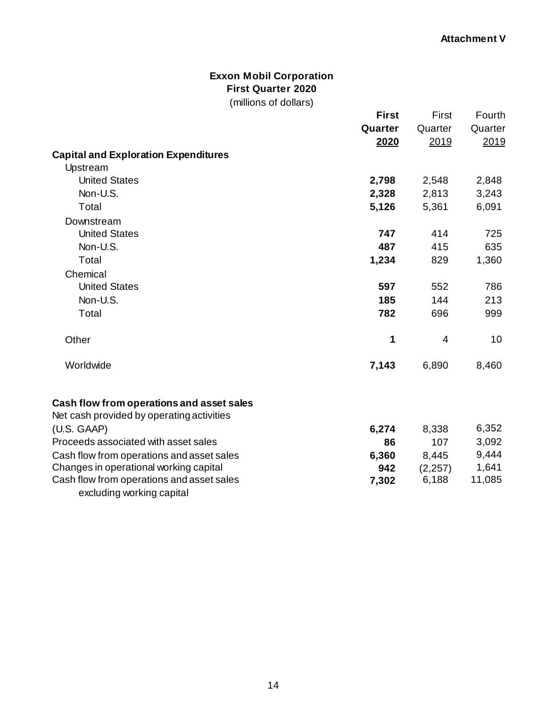(millions of dollars)

|                                                                        | <b>First</b><br>Quarter | First<br>Quarter | Fourth<br>Quarter |
|------------------------------------------------------------------------|-------------------------|------------------|-------------------|
|                                                                        | 2020                    | 2019             | 2019              |
| <b>Capital and Exploration Expenditures</b>                            |                         |                  |                   |
| Upstream                                                               |                         |                  |                   |
| <b>United States</b>                                                   | 2,798                   | 2,548            | 2,848             |
| Non-U.S.                                                               | 2,328                   | 2,813            | 3,243             |
| Total                                                                  | 5,126                   | 5,361            | 6,091             |
| Downstream                                                             |                         |                  |                   |
| <b>United States</b>                                                   | 747                     | 414              | 725               |
| Non-U.S.                                                               | 487                     | 415              | 635               |
| Total                                                                  | 1,234                   | 829              | 1,360             |
| Chemical                                                               |                         |                  |                   |
| <b>United States</b>                                                   | 597                     | 552              | 786               |
| Non-U.S.                                                               | 185                     | 144              | 213               |
| Total                                                                  | 782                     | 696              | 999               |
| Other                                                                  | 1                       | $\overline{4}$   | 10                |
| Worldwide                                                              | 7,143                   | 6,890            | 8,460             |
| Cash flow from operations and asset sales                              |                         |                  |                   |
| Net cash provided by operating activities                              |                         |                  |                   |
| (U.S. GAAP)                                                            | 6,274                   | 8,338            | 6,352             |
| Proceeds associated with asset sales                                   | 86                      | 107              | 3,092             |
| Cash flow from operations and asset sales                              | 6,360                   | 8,445            | 9,444             |
| Changes in operational working capital                                 | 942                     | (2, 257)         | 1,641             |
| Cash flow from operations and asset sales<br>excluding working capital | 7,302                   | 6,188            | 11,085            |